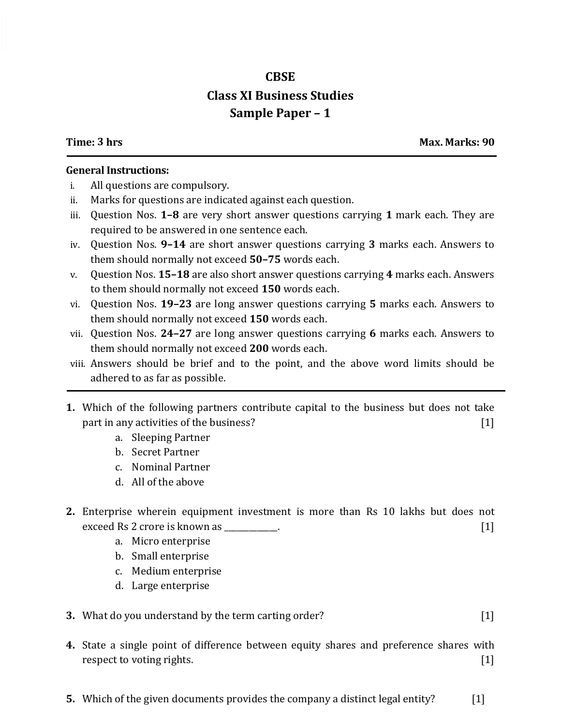## **CBSE Class XI Business Studies Sample Paper – 1**

**Time: 3 hrs Max. Marks: 90**

## **General Instructions:**

- i. All questions are compulsory.
- ii. Marks for questions are indicated against each question.
- iii. Question Nos. **1–8** are very short answer questions carrying **1** mark each. They are required to be answered in one sentence each.
- iv. Question Nos. **9–14** are short answer questions carrying **3** marks each. Answers to them should normally not exceed **50–75** words each.
- v. Question Nos. **15–18** are also short answer questions carrying **4** marks each. Answers to them should normally not exceed **150** words each.
- vi. Question Nos. **19–23** are long answer questions carrying **5** marks each. Answers to them should normally not exceed **150** words each.
- vii. Question Nos. **24–27** are long answer questions carrying **6** marks each. Answers to them should normally not exceed **200** words each.
- viii. Answers should be brief and to the point, and the above word limits should be adhered to as far as possible.
- **1.** Which of the following partners contribute capital to the business but does not take part in any activities of the business? [1]
	- a. Sleeping Partner
	- b. Secret Partner
	- c. Nominal Partner
	- d. All of the above
- **2.** Enterprise wherein equipment investment is more than Rs 10 lakhs but does not exceed Rs 2 crore is known as \_\_\_\_\_\_\_\_\_\_\_.
	- a. Micro enterprise
	- b. Small enterprise
	- c. Medium enterprise
	- d. Large enterprise
- **3.** What do you understand by the term carting order? [1]
- **4.** State a single point of difference between equity shares and preference shares with respect to voting rights. [1]
- **5.** Which of the given documents provides the company a distinct legal entity? [1]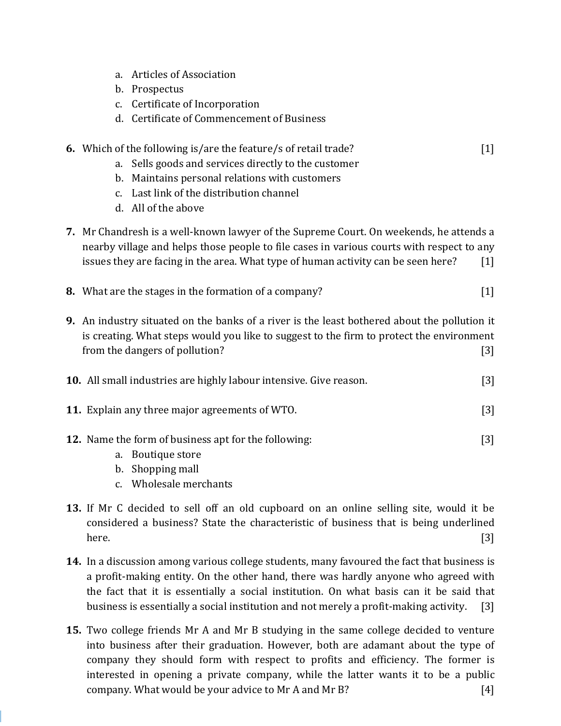- a. Articles of Association
- b. Prospectus
- c. Certificate of Incorporation
- d. Certificate of Commencement of Business
- **6.** Which of the following is/are the feature/s of retail trade? [1]
	- a. Sells goods and services directly to the customer
	- b. Maintains personal relations with customers
	- c. Last link of the distribution channel
	- d. All of the above
- **7.** Mr Chandresh is a well-known lawyer of the Supreme Court. On weekends, he attends a nearby village and helps those people to file cases in various courts with respect to any issues they are facing in the area. What type of human activity can be seen here?  $[1]$
- **8.** What are the stages in the formation of a company? [1]
- **9.** An industry situated on the banks of a river is the least bothered about the pollution it is creating. What steps would you like to suggest to the firm to protect the environment from the dangers of pollution? [3]

- **11.** Explain any three major agreements of WTO. The same state of  $\blacksquare$  [3]
- **12.** Name the form of business apt for the following: [3]
	- a. Boutique store
	- b. Shopping mall
	- c. Wholesale merchants
- **13.** If Mr C decided to sell off an old cupboard on an online selling site, would it be considered a business? State the characteristic of business that is being underlined here.  $[3]$
- **14.** In a discussion among various college students, many favoured the fact that business is a profit-making entity. On the other hand, there was hardly anyone who agreed with the fact that it is essentially a social institution. On what basis can it be said that business is essentially a social institution and not merely a profit-making activity. [3]
- **15.** Two college friends Mr A and Mr B studying in the same college decided to venture into business after their graduation. However, both are adamant about the type of company they should form with respect to profits and efficiency. The former is interested in opening a private company, while the latter wants it to be a public company. What would be your advice to Mr A and Mr B? [4]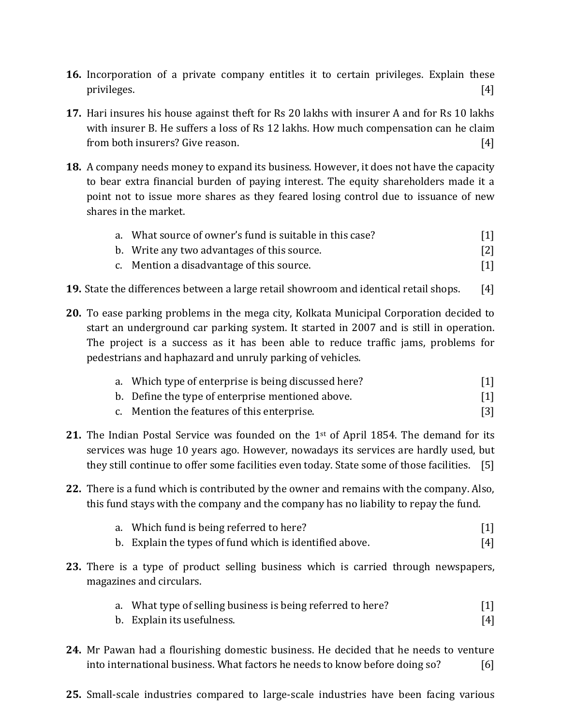- **16.** Incorporation of a private company entitles it to certain privileges. Explain these privileges. [4]
- **17.** Hari insures his house against theft for Rs 20 lakhs with insurer A and for Rs 10 lakhs with insurer B. He suffers a loss of Rs 12 lakhs. How much compensation can he claim from both insurers? Give reason. [4]
- **18.** A company needs money to expand its business. However, it does not have the capacity to bear extra financial burden of paying interest. The equity shareholders made it a point not to issue more shares as they feared losing control due to issuance of new shares in the market.

|  | a. What source of owner's fund is suitable in this case? |  |
|--|----------------------------------------------------------|--|
|  |                                                          |  |

- b. Write any two advantages of this source. [2] c. Mention a disadvantage of this source. [1]
- **19.** State the differences between a large retail showroom and identical retail shops. [4]
- **20.** To ease parking problems in the mega city, Kolkata Municipal Corporation decided to start an underground car parking system. It started in 2007 and is still in operation. The project is a success as it has been able to reduce traffic jams, problems for pedestrians and haphazard and unruly parking of vehicles.

|  | a. Which type of enterprise is being discussed here? |  |
|--|------------------------------------------------------|--|
|  |                                                      |  |

- b. Define the type of enterprise mentioned above. [1]
- c. Mention the features of this enterprise. [3]
- **21.** The Indian Postal Service was founded on the 1<sup>st</sup> of April 1854. The demand for its services was huge 10 years ago. However, nowadays its services are hardly used, but they still continue to offer some facilities even today. State some of those facilities. [5]
- **22.** There is a fund which is contributed by the owner and remains with the company. Also, this fund stays with the company and the company has no liability to repay the fund.
	- a. Which fund is being referred to here? [1]
	- b. Explain the types of fund which is identified above. [4]
- **23.** There is a type of product selling business which is carried through newspapers, magazines and circulars.
	- a. What type of selling business is being referred to here? [1]
	- b. Explain its usefulness. [4]
- **24.** Mr Pawan had a flourishing domestic business. He decided that he needs to venture into international business. What factors he needs to know before doing so? [6]
- **25.** Small-scale industries compared to large-scale industries have been facing various